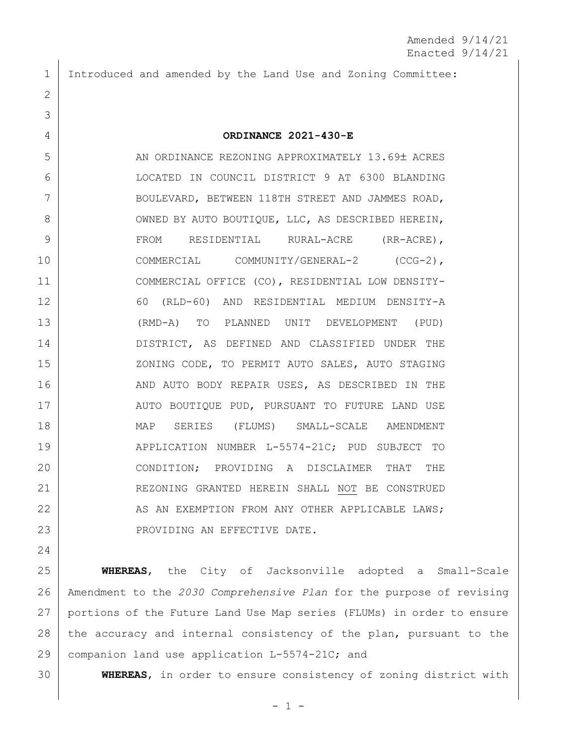1 Introduced and amended by the Land Use and Zoning Committee:

## 4 **ORDINANCE 2021-430-E**

5 AN ORDINANCE REZONING APPROXIMATELY 13.69± ACRES 6 LOCATED IN COUNCIL DISTRICT 9 AT 6300 BLANDING 7 BOULEVARD, BETWEEN 118TH STREET AND JAMMES ROAD, 8 OWNED BY AUTO BOUTIQUE, LLC, AS DESCRIBED HEREIN, 9 FROM RESIDENTIAL RURAL-ACRE (RR-ACRE), 10 COMMERCIAL COMMUNITY/GENERAL-2 (CCG-2), 11 COMMERCIAL OFFICE (CO), RESIDENTIAL LOW DENSITY-12 60 (RLD-60) AND RESIDENTIAL MEDIUM DENSITY-A 13 (RMD-A) TO PLANNED UNIT DEVELOPMENT (PUD) 14 DISTRICT, AS DEFINED AND CLASSIFIED UNDER THE 15 | XONING CODE, TO PERMIT AUTO SALES, AUTO STAGING 16 AND AUTO BODY REPAIR USES, AS DESCRIBED IN THE 17 | AUTO BOUTIQUE PUD, PURSUANT TO FUTURE LAND USE 18 MAP SERIES (FLUMS) SMALL-SCALE AMENDMENT 19 | APPLICATION NUMBER L-5574-21C; PUD SUBJECT TO 20 CONDITION; PROVIDING A DISCLAIMER THAT THE 21 REZONING GRANTED HEREIN SHALL NOT BE CONSTRUED 22 AS AN EXEMPTION FROM ANY OTHER APPLICABLE LAWS; 23 | PROVIDING AN EFFECTIVE DATE.

24

2

3

 **WHEREAS**, the City of Jacksonville adopted a Small-Scale Amendment to the *2030 Comprehensive Plan* for the purpose of revising portions of the Future Land Use Map series (FLUMs) in order to ensure 28 the accuracy and internal consistency of the plan, pursuant to the companion land use application L-5574-21C; and

30 **WHEREAS**, in order to ensure consistency of zoning district with

 $-1 -$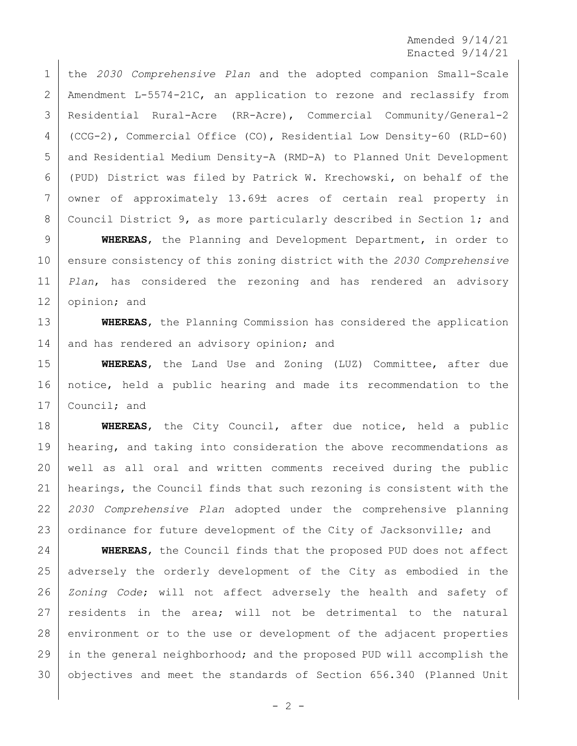Amended 9/14/21 Enacted 9/14/21

 the *2030 Comprehensive Plan* and the adopted companion Small-Scale Amendment L-5574-21C, an application to rezone and reclassify from Residential Rural-Acre (RR-Acre), Commercial Community/General-2 (CCG-2), Commercial Office (CO), Residential Low Density-60 (RLD-60) and Residential Medium Density-A (RMD-A) to Planned Unit Development (PUD) District was filed by Patrick W. Krechowski, on behalf of the 7 owner of approximately 13.69± acres of certain real property in Council District 9, as more particularly described in Section 1; and

 **WHEREAS**, the Planning and Development Department, in order to ensure consistency of this zoning district with the *2030 Comprehensive Plan*, has considered the rezoning and has rendered an advisory 12 opinion; and

 **WHEREAS**, the Planning Commission has considered the application 14 and has rendered an advisory opinion; and

 **WHEREAS**, the Land Use and Zoning (LUZ) Committee, after due notice, held a public hearing and made its recommendation to the 17 Council; and

 **WHEREAS**, the City Council, after due notice, held a public 19 | hearing, and taking into consideration the above recommendations as well as all oral and written comments received during the public hearings, the Council finds that such rezoning is consistent with the *2030 Comprehensive Plan* adopted under the comprehensive planning 23 ordinance for future development of the City of Jacksonville; and

 **WHEREAS**, the Council finds that the proposed PUD does not affect adversely the orderly development of the City as embodied in the *Zoning Code*; will not affect adversely the health and safety of residents in the area; will not be detrimental to the natural 28 environment or to the use or development of the adjacent properties in the general neighborhood; and the proposed PUD will accomplish the objectives and meet the standards of Section 656.340 (Planned Unit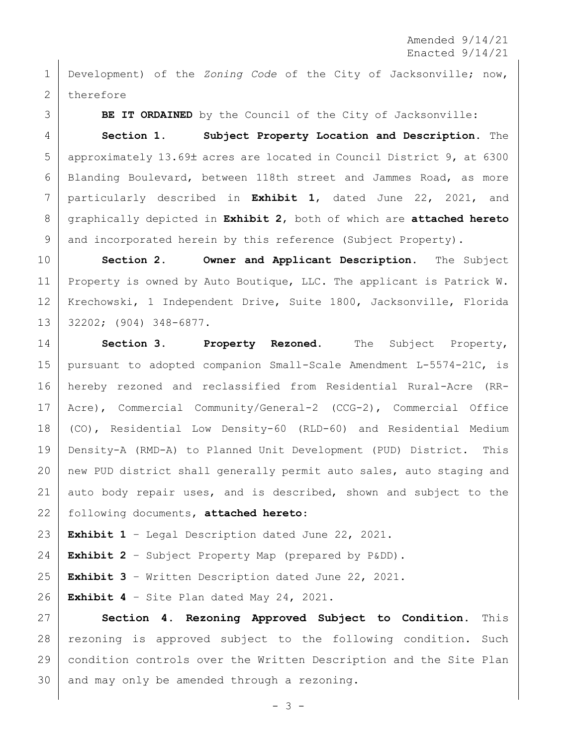Amended 9/14/21 Enacted 9/14/21

 Development) of the *Zoning Code* of the City of Jacksonville; now, 2 therefore

 **BE IT ORDAINED** by the Council of the City of Jacksonville: **Section 1. Subject Property Location and Description.** The 5 approximately 13.69± acres are located in Council District 9, at 6300 Blanding Boulevard, between 118th street and Jammes Road, as more particularly described in **Exhibit 1**, dated June 22, 2021, and graphically depicted in **Exhibit 2**, both of which are **attached hereto** 9 and incorporated herein by this reference (Subject Property).

 **Section 2. Owner and Applicant Description.** The Subject Property is owned by Auto Boutique, LLC. The applicant is Patrick W. Krechowski, 1 Independent Drive, Suite 1800, Jacksonville, Florida 32202; (904) 348-6877.

 **Section 3. Property Rezoned.** The Subject Property, pursuant to adopted companion Small-Scale Amendment L-5574-21C, is hereby rezoned and reclassified from Residential Rural-Acre (RR- Acre), Commercial Community/General-2 (CCG-2), Commercial Office (CO), Residential Low Density-60 (RLD-60) and Residential Medium Density-A (RMD-A) to Planned Unit Development (PUD) District. This new PUD district shall generally permit auto sales, auto staging and 21 auto body repair uses, and is described, shown and subject to the following documents, **attached hereto**:

**Exhibit 1** – Legal Description dated June 22, 2021.

**Exhibit 2** – Subject Property Map (prepared by P&DD).

**Exhibit 3** – Written Description dated June 22, 2021.

**Exhibit 4** – Site Plan dated May 24, 2021.

 **Section 4. Rezoning Approved Subject to Condition.** This rezoning is approved subject to the following condition. Such condition controls over the Written Description and the Site Plan and may only be amended through a rezoning.

- 3 -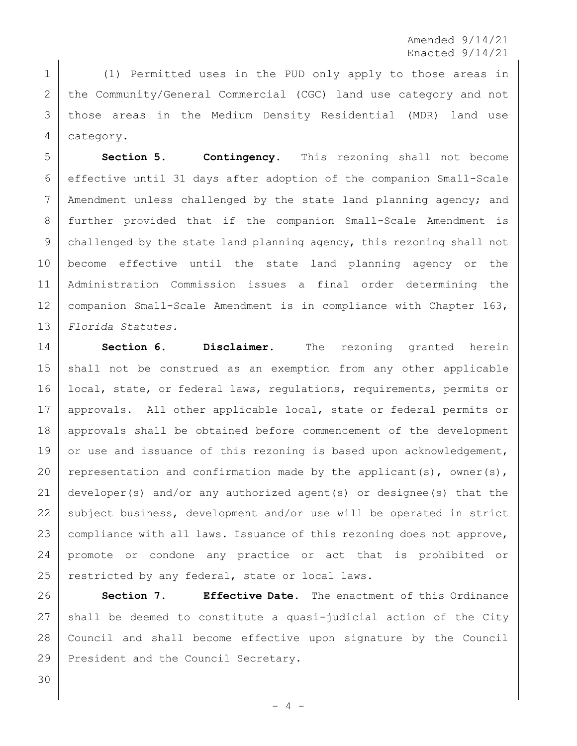Amended 9/14/21 Enacted 9/14/21

1 (1) Permitted uses in the PUD only apply to those areas in 2 the Community/General Commercial (CGC) land use category and not 3 those areas in the Medium Density Residential (MDR) land use 4 category.

 **Section 5. Contingency.** This rezoning shall not become effective until 31 days after adoption of the companion Small-Scale 7 | Amendment unless challenged by the state land planning agency; and further provided that if the companion Small-Scale Amendment is challenged by the state land planning agency, this rezoning shall not become effective until the state land planning agency or the Administration Commission issues a final order determining the 12 | companion Small-Scale Amendment is in compliance with Chapter 163, *Florida Statutes.*

14 **Section 6. Disclaimer.** The rezoning granted herein 15 shall not be construed as an exemption from any other applicable 16 | local, state, or federal laws, regulations, requirements, permits or 17 approvals. All other applicable local, state or federal permits or 18 approvals shall be obtained before commencement of the development 19 or use and issuance of this rezoning is based upon acknowledgement, 20 representation and confirmation made by the applicant(s), owner(s), 21 developer(s) and/or any authorized agent(s) or designee(s) that the 22 subject business, development and/or use will be operated in strict 23 compliance with all laws. Issuance of this rezoning does not approve, 24 promote or condone any practice or act that is prohibited or 25 restricted by any federal, state or local laws.

 **Section 7. Effective Date.** The enactment of this Ordinance shall be deemed to constitute a quasi-judicial action of the City Council and shall become effective upon signature by the Council 29 President and the Council Secretary.

30